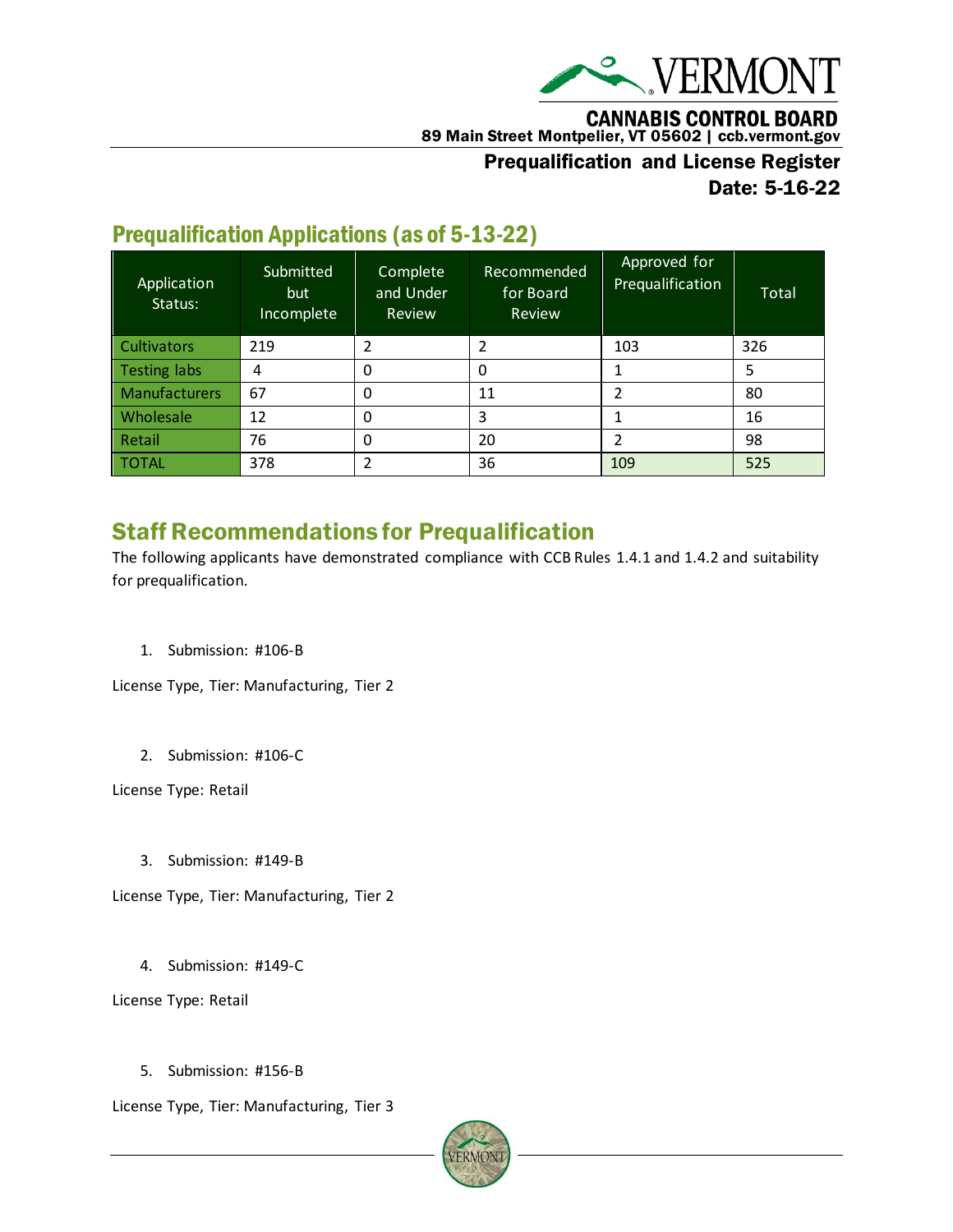

**CANNABIS CONTROL BOARD** 

89 Main Street Montpelier, VT 05602 | ccb.vermont.gov

#### Prequalification and License Register Date: 5-16-22

### Prequalification Applications (as of 5-13-22)

| Application<br>Status: | Submitted<br>but<br>Incomplete | Complete<br>and Under<br>Review | Recommended<br>for Board<br>Review | Approved for<br>Prequalification | Total |
|------------------------|--------------------------------|---------------------------------|------------------------------------|----------------------------------|-------|
| <b>Cultivators</b>     | 219                            | 2                               |                                    | 103                              | 326   |
| <b>Testing labs</b>    | 4                              | 0                               |                                    |                                  | 5     |
| <b>Manufacturers</b>   | 67                             | $\Omega$                        | 11                                 | ว                                | 80    |
| Wholesale              | 12                             | 0                               | 3                                  |                                  | 16    |
| Retail                 | 76                             | 0                               | 20                                 | 2                                | 98    |
| <b>TOTAL</b>           | 378                            | 2                               | 36                                 | 109                              | 525   |

## Staff Recommendations for Prequalification

The following applicants have demonstrated compliance with CCB Rules 1.4.1 and 1.4.2 and suitability for prequalification.

1. Submission: #106-B

License Type, Tier: Manufacturing, Tier 2

2. Submission: #106-C

License Type: Retail

3. Submission: #149-B

License Type, Tier: Manufacturing, Tier 2

4. Submission: #149-C

License Type: Retail

5. Submission: #156-B

License Type, Tier: Manufacturing, Tier 3

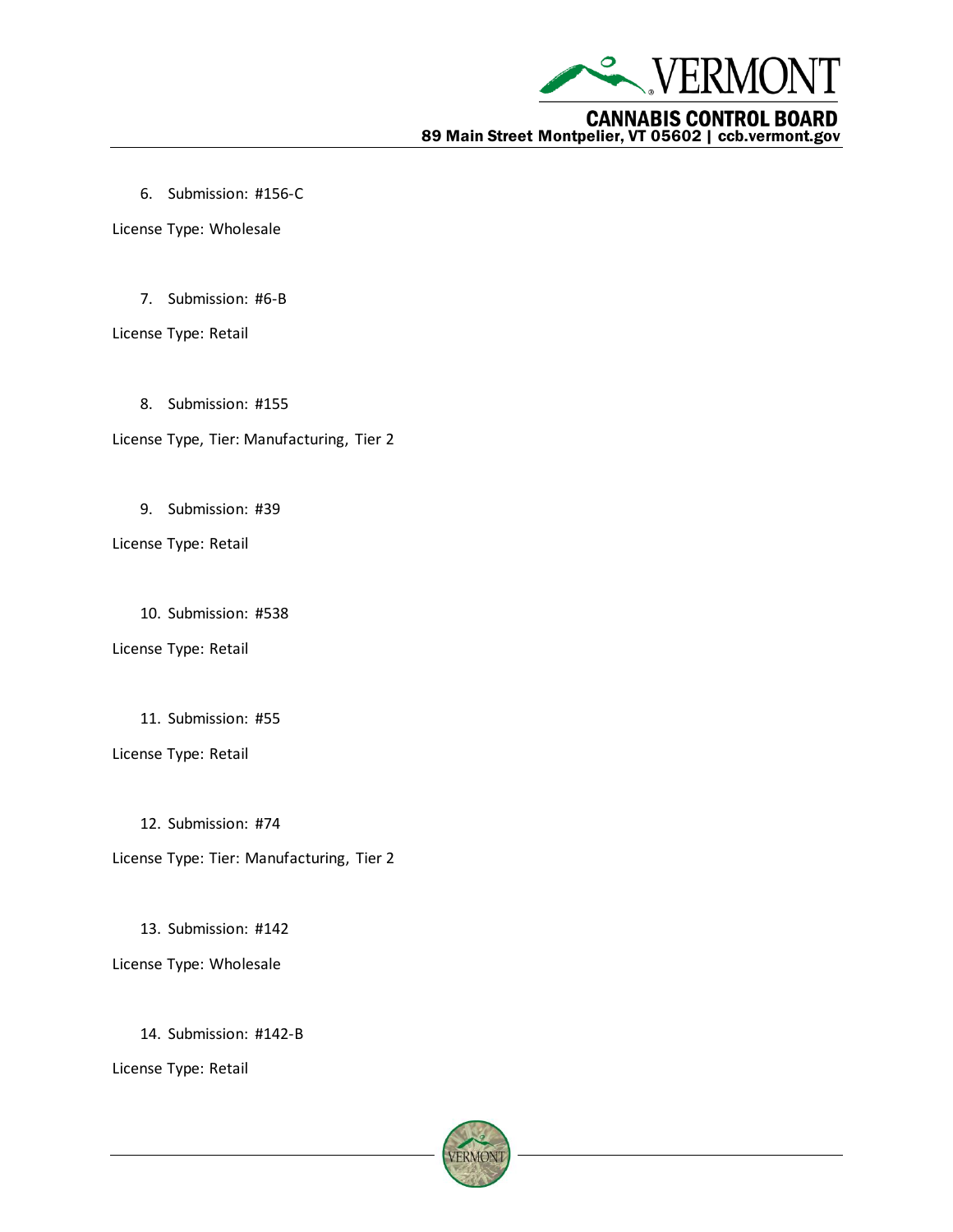

6. Submission: #156-C

License Type: Wholesale

7. Submission: #6-B

License Type: Retail

- 8. Submission: #155
- License Type, Tier: Manufacturing, Tier 2
	- 9. Submission: #39
- License Type: Retail
	- 10. Submission: #538
- License Type: Retail
	- 11. Submission: #55
- License Type: Retail
	- 12. Submission: #74
- License Type: Tier: Manufacturing, Tier 2
	- 13. Submission: #142
- License Type: Wholesale
	- 14. Submission: #142-B

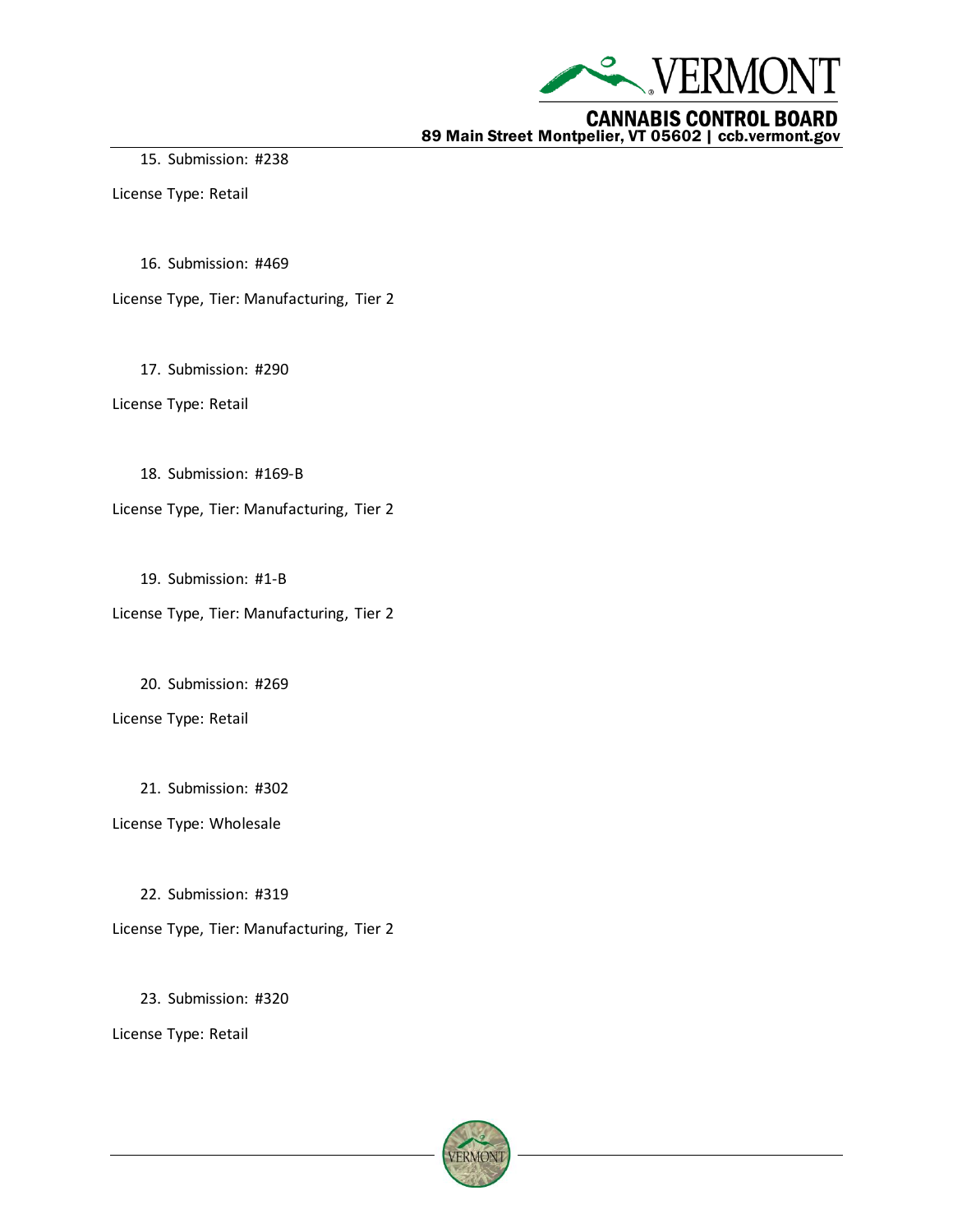

15. Submission: #238

License Type: Retail

16. Submission: #469

License Type, Tier: Manufacturing, Tier 2

17. Submission: #290

License Type: Retail

18. Submission: #169-B

License Type, Tier: Manufacturing, Tier 2

19. Submission: #1-B

License Type, Tier: Manufacturing, Tier 2

20. Submission: #269

License Type: Retail

21. Submission: #302

License Type: Wholesale

22. Submission: #319

License Type, Tier: Manufacturing, Tier 2

23. Submission: #320

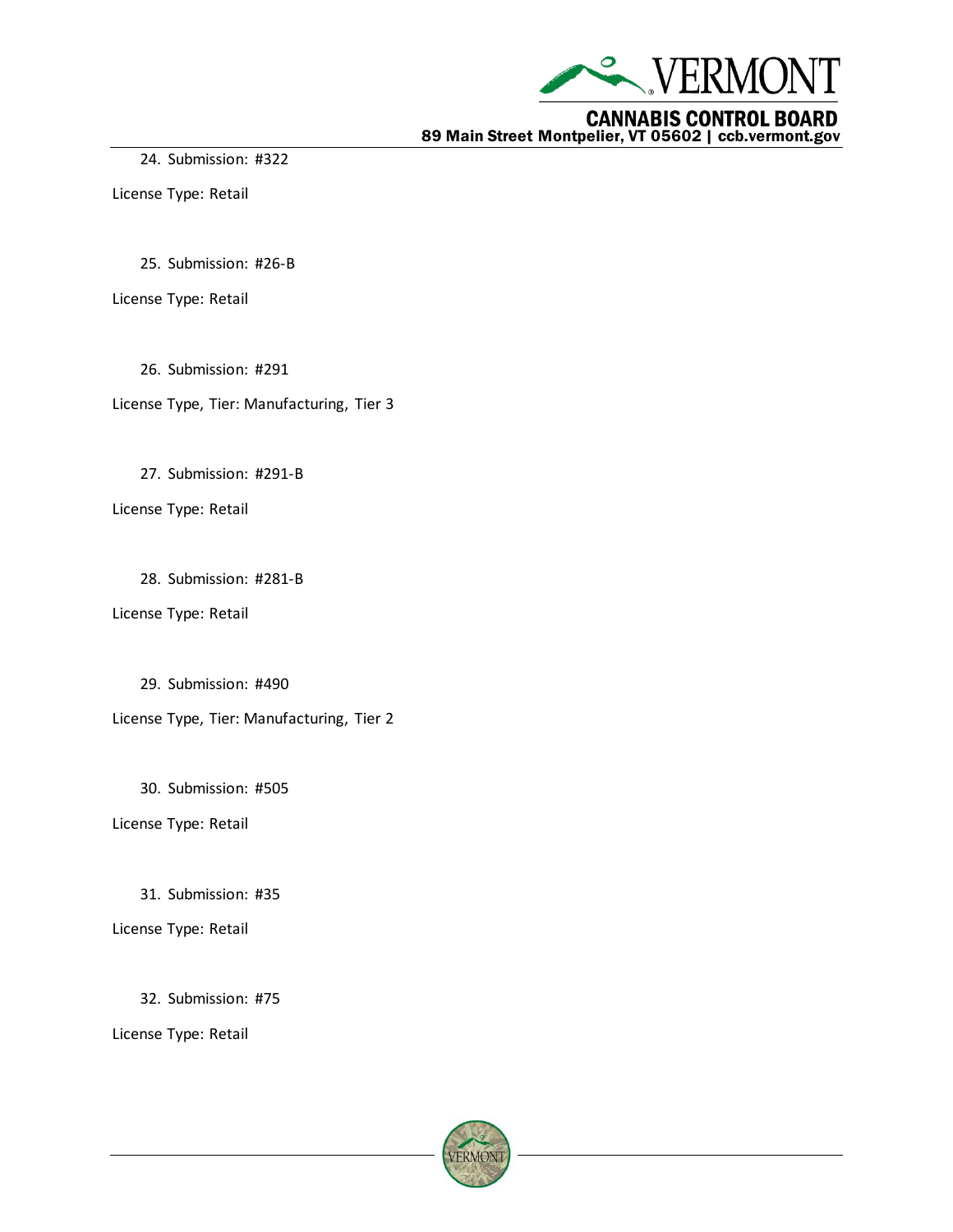

24. Submission: #322

License Type: Retail

25. Submission: #26-B

License Type: Retail

26. Submission: #291

License Type, Tier: Manufacturing, Tier 3

27. Submission: #291-B

License Type: Retail

28. Submission: #281-B

License Type: Retail

29. Submission: #490

License Type, Tier: Manufacturing, Tier 2

30. Submission: #505

License Type: Retail

31. Submission: #35

License Type: Retail

32. Submission: #75

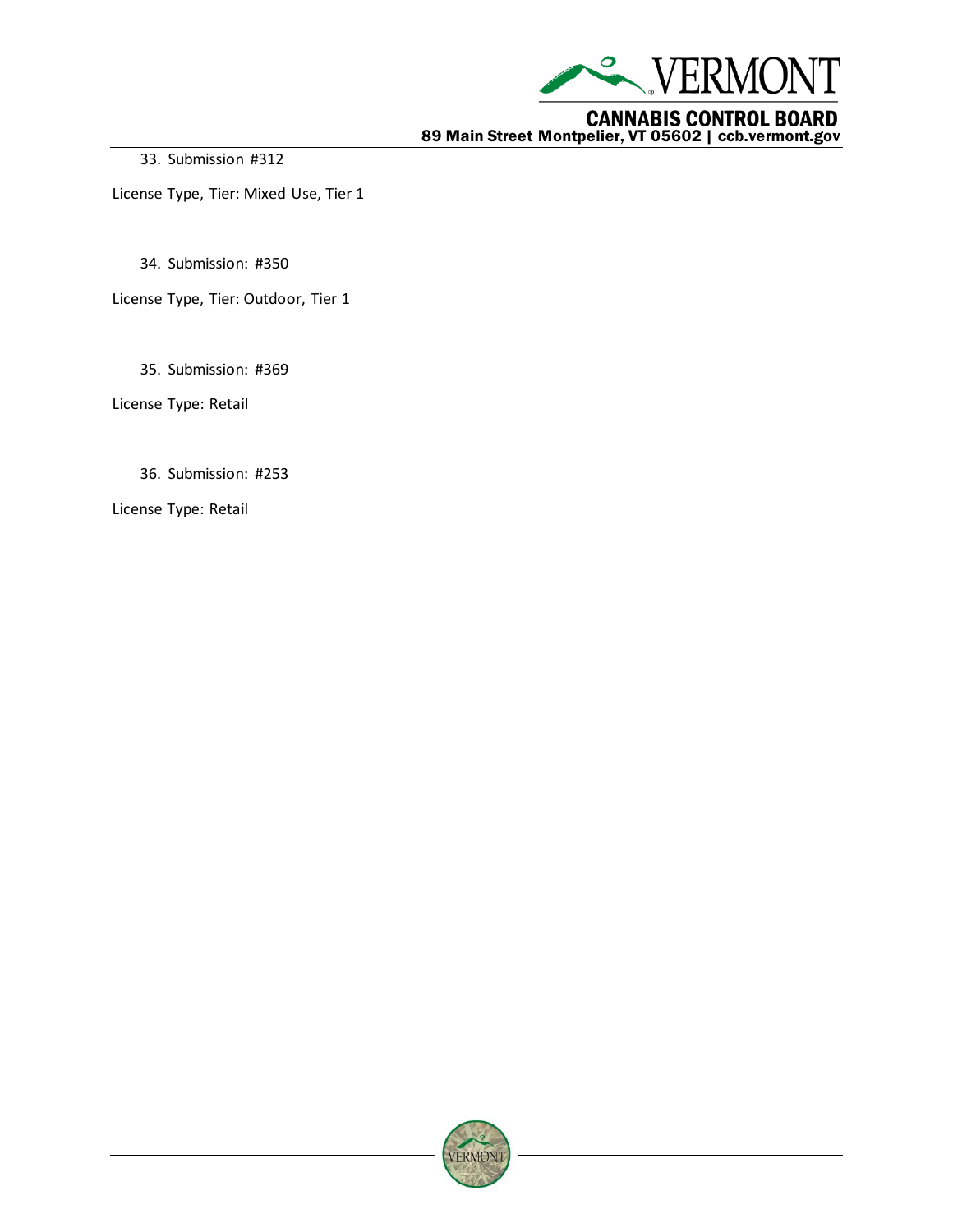

33. Submission #312

License Type, Tier: Mixed Use, Tier 1

34. Submission: #350

License Type, Tier: Outdoor, Tier 1

35. Submission: #369

License Type: Retail

36. Submission: #253

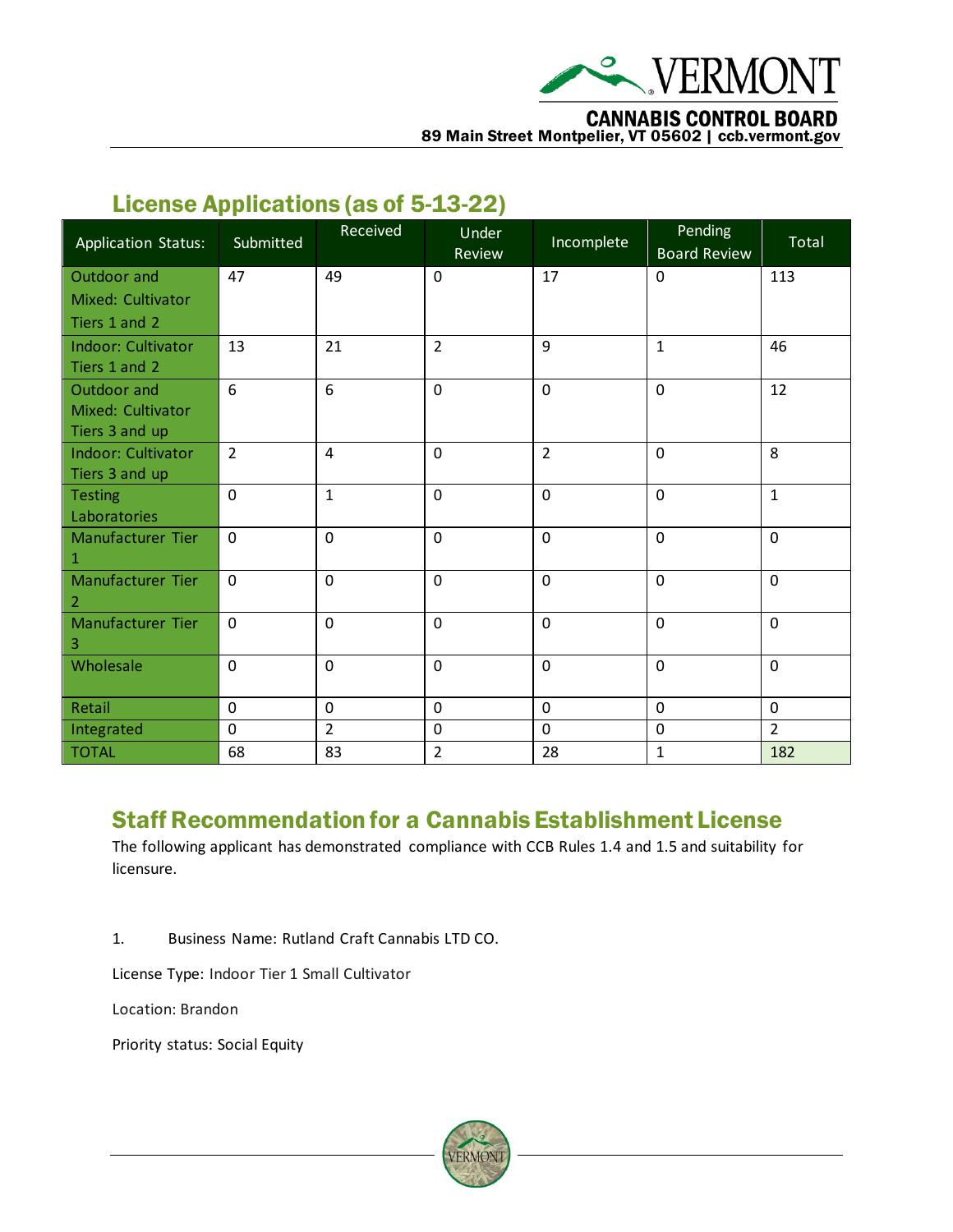

#### **CANNABIS CONTROL BOARD**

89 Main Street Montpelier, VT 05602 | ccb.vermont.gov

## License Applications (as of 5-13-22)

| <b>Application Status:</b> | Submitted      | Received       | Under<br>Review | Incomplete     | Pending<br><b>Board Review</b> | Total          |
|----------------------------|----------------|----------------|-----------------|----------------|--------------------------------|----------------|
| Outdoor and                | 47             | 49             | $\mathbf 0$     | 17             | $\Omega$                       | 113            |
| Mixed: Cultivator          |                |                |                 |                |                                |                |
| Tiers 1 and 2              |                |                |                 |                |                                |                |
| <b>Indoor: Cultivator</b>  | 13             | 21             | $\overline{2}$  | 9              | $\mathbf{1}$                   | 46             |
| Tiers 1 and 2              |                |                |                 |                |                                |                |
| Outdoor and                | 6              | 6              | $\mathbf 0$     | $\mathbf 0$    | $\Omega$                       | 12             |
| Mixed: Cultivator          |                |                |                 |                |                                |                |
| Tiers 3 and up             |                |                |                 |                |                                |                |
| <b>Indoor: Cultivator</b>  | $\overline{2}$ | 4              | $\mathbf 0$     | $\overline{2}$ | $\mathbf 0$                    | 8              |
| Tiers 3 and up             |                |                |                 |                |                                |                |
| <b>Testing</b>             | $\mathbf 0$    | $\mathbf{1}$   | $\mathbf 0$     | $\mathbf 0$    | $\mathbf 0$                    | $\mathbf{1}$   |
| Laboratories               |                |                |                 |                |                                |                |
| Manufacturer Tier          | $\mathbf 0$    | $\mathbf 0$    | $\mathbf 0$     | $\mathbf 0$    | $\mathbf 0$                    | $\mathbf 0$    |
| 1                          |                |                |                 |                |                                |                |
| Manufacturer Tier          | $\mathbf 0$    | $\mathbf 0$    | $\mathbf 0$     | $\mathbf 0$    | $\mathbf 0$                    | $\mathbf 0$    |
| $\overline{2}$             | $\mathbf 0$    |                | $\mathbf 0$     | $\overline{0}$ | $\mathbf 0$                    | $\mathbf 0$    |
| Manufacturer Tier<br>3     |                | $\mathbf 0$    |                 |                |                                |                |
| Wholesale                  | $\mathbf 0$    | $\mathbf 0$    | $\mathbf 0$     | $\overline{0}$ | $\mathbf 0$                    | $\mathbf 0$    |
|                            |                |                |                 |                |                                |                |
| Retail                     | $\mathbf 0$    | $\mathbf 0$    | $\mathbf 0$     | $\mathbf 0$    | $\mathbf 0$                    | $\mathbf 0$    |
| Integrated                 | $\mathbf 0$    | $\overline{2}$ | $\mathbf 0$     | $\mathbf 0$    | $\mathbf 0$                    | $\overline{2}$ |
| <b>TOTAL</b>               | 68             | 83             | $\overline{2}$  | 28             | $\mathbf{1}$                   | 182            |

#### Staff Recommendation for a Cannabis Establishment License

The following applicant has demonstrated compliance with CCB Rules 1.4 and 1.5 and suitability for licensure.

1. Business Name: Rutland Craft Cannabis LTD CO.

License Type: Indoor Tier 1 Small Cultivator

Location: Brandon

Priority status: Social Equity

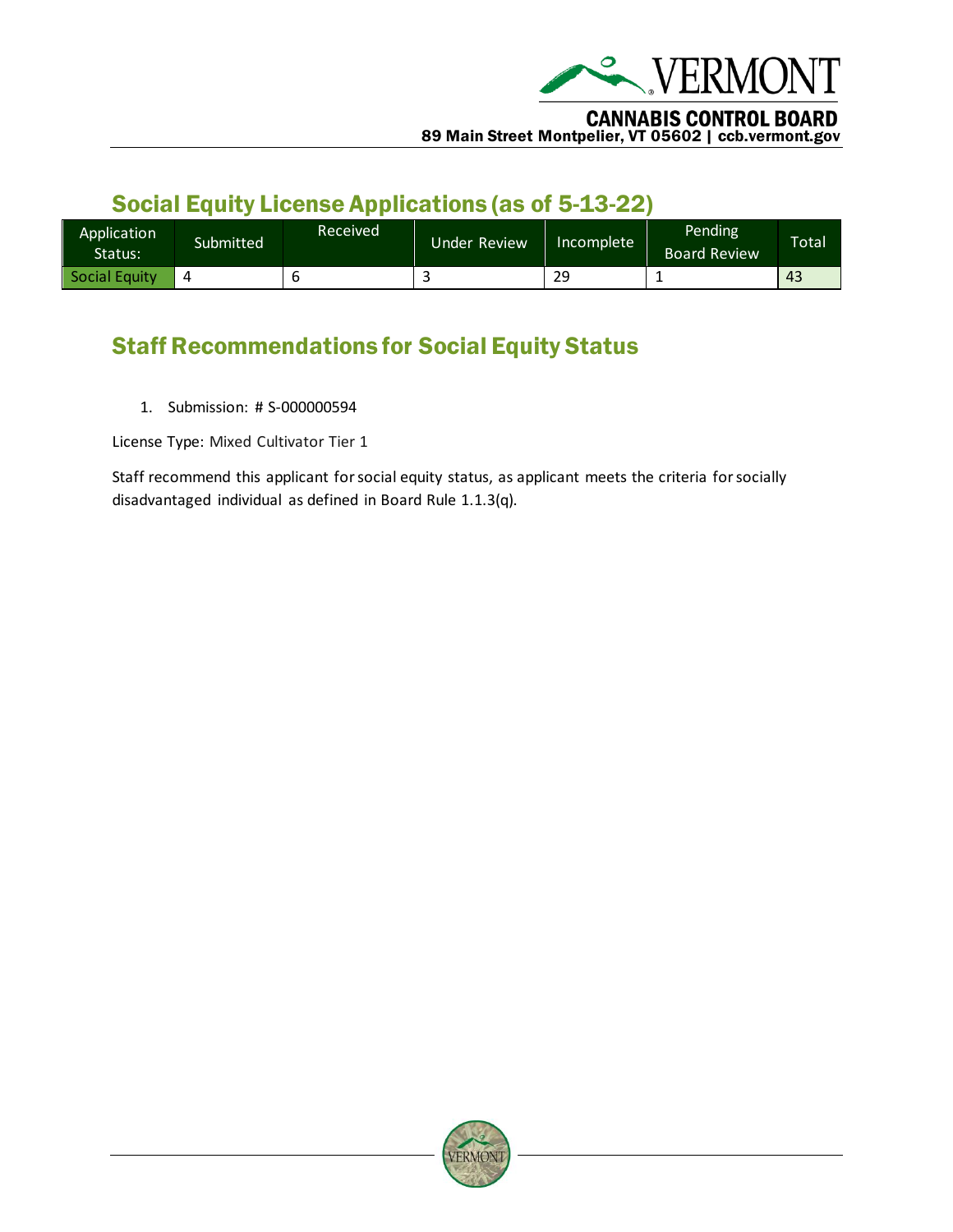

# Social Equity License Applications (as of 5-13-22)

| Application<br>Status: | Submitted | Received | Under Review | lncomplete ' | Pending<br><b>Board Review</b> | <b>Total</b> |
|------------------------|-----------|----------|--------------|--------------|--------------------------------|--------------|
| Social Equity          |           |          |              | 29           | --                             | 43           |

# Staff Recommendations for Social Equity Status

1. Submission: # S-000000594

License Type: Mixed Cultivator Tier 1

Staff recommend this applicant for social equity status, as applicant meets the criteria for socially disadvantaged individual as defined in Board Rule 1.1.3(q).